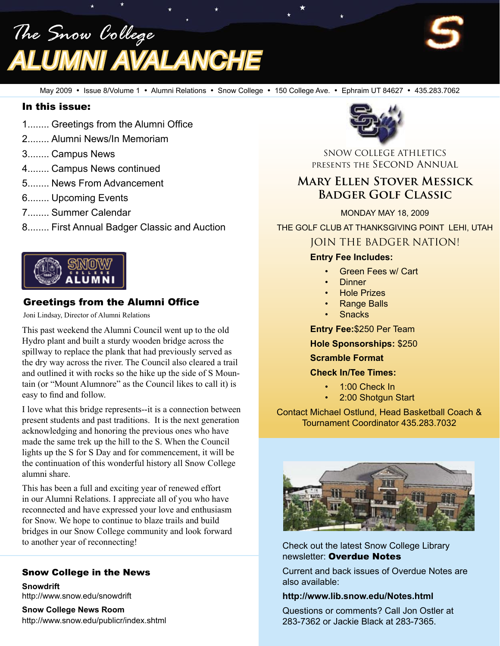*The Snow College Alumni Avalanche*



#### In this issue:

- 1........ Greetings from the Alumni Office
- 2........ Alumni News/In Memoriam
- 3........ Campus News
- 4........ Campus News continued
- 5........ News From Advancement
- 6........ Upcoming Events
- 7........ Summer Calendar
- 8........ First Annual Badger Classic and Auction



# Greetings from the Alumni Office

Joni Lindsay, Director of Alumni Relations

This past weekend the Alumni Council went up to the old Hydro plant and built a sturdy wooden bridge across the spillway to replace the plank that had previously served as the dry way across the river. The Council also cleared a trail and outlined it with rocks so the hike up the side of S Mountain (or "Mount Alumnore" as the Council likes to call it) is easy to find and follow.

I love what this bridge represents--it is a connection between present students and past traditions. It is the next generation acknowledging and honoring the previous ones who have made the same trek up the hill to the S. When the Council lights up the S for S Day and for commencement, it will be the continuation of this wonderful history all Snow College alumni share.

This has been a full and exciting year of renewed effort in our Alumni Relations. I appreciate all of you who have reconnected and have expressed your love and enthusiasm for Snow. We hope to continue to blaze trails and build bridges in our Snow College community and look forward to another year of reconnecting!

#### Snow College in the News

**Snowdrift** http://www.snow.edu/snowdrift

**Snow College News Room** http://www.snow.edu/publicr/index.shtml



SNOW COLLEGE ATHLETICS presents the Second Annual

# **Mary Ellen Stover Messick Badger Golf Classic**

MONDAY MAY 18, 2009

THE GOLF CLUB AT THANKSGIVING POINT LEHI, UTAH

# JOIN THE BADGER NATION!

#### **Entry Fee Includes:**

- Green Fees w/ Cart
- Dinner
- **Hole Prizes**
- Range Balls
- **Snacks**

**Entry Fee:**\$250 Per Team

**Hole Sponsorships:** \$250

**Scramble Format**

**Check In/Tee Times:**

- 1:00 Check In
- 2:00 Shotgun Start

Contact Michael Ostlund, Head Basketball Coach & Tournament Coordinator 435.283.7032



Check out the latest Snow College Library newsletter: Overdue Notes

Current and back issues of Overdue Notes are also available:

#### **http://www.lib.snow.edu/Notes.html**

Questions or comments? Call Jon Ostler at 283-7362 or Jackie Black at 283-7365.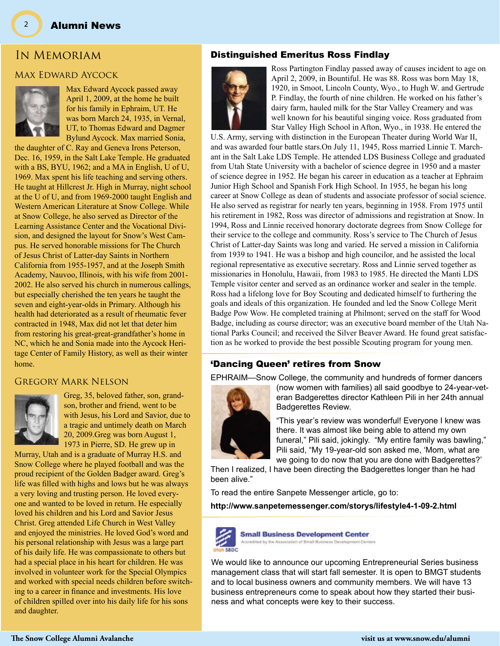# In Memoriam

#### Max Edward Aycock



Max Edward Aycock passed away April 1, 2009, at the home he built for his family in Ephraim, UT. He was born March 24, 1935, in Vernal, UT, to Thomas Edward and Dagmer Bylund Aycock. Max married Sonia,

the daughter of C. Ray and Geneva Irons Peterson, Dec. 16, 1959, in the Salt Lake Temple. He graduated with a BS, BYU, 1962; and a MA in English, U of U, 1969. Max spent his life teaching and serving others. He taught at Hillcrest Jr. High in Murray, night school at the U of U, and from 1969-2000 taught English and Western American Literature at Snow College. While at Snow College, he also served as Director of the Learning Assistance Center and the Vocational Division, and designed the layout for Snow's West Campus. He served honorable missions for The Church of Jesus Christ of Latter-day Saints in Northern California from 1955-1957, and at the Joseph Smith Academy, Nauvoo, Illinois, with his wife from 2001- 2002. He also served his church in numerous callings, but especially cherished the ten years he taught the seven and eight-year-olds in Primary. Although his health had deteriorated as a result of rheumatic fever contracted in 1948, Max did not let that deter him from restoring his great-great-grandfather's home in NC, which he and Sonia made into the Aycock Heritage Center of Family History, as well as their winter home.

#### Gregory Mark Nelson



Greg, 35, beloved father, son, grandson, brother and friend, went to be with Jesus, his Lord and Savior, due to a tragic and untimely death on March 20, 2009.Greg was born August 1, 1973 in Pierre, SD. He grew up in

Murray, Utah and is a graduate of Murray H.S. and Snow College where he played football and was the proud recipient of the Golden Badger award. Greg's life was filled with highs and lows but he was always a very loving and trusting person. He loved everyone and wanted to be loved in return. He especially loved his children and his Lord and Savior Jesus Christ. Greg attended Life Church in West Valley and enjoyed the ministries. He loved God's word and his personal relationship with Jesus was a large part of his daily life. He was compassionate to others but had a special place in his heart for children. He was involved in volunteer work for the Special Olympics and worked with special needs children before switching to a career in finance and investments. His love of children spilled over into his daily life for his sons and daughter.

#### Distinguished Emeritus Ross Findlay



Ross Partington Findlay passed away of causes incident to age on April 2, 2009, in Bountiful. He was 88. Ross was born May 18, 1920, in Smoot, Lincoln County, Wyo., to Hugh W. and Gertrude P. Findlay, the fourth of nine children. He worked on his father's dairy farm, hauled milk for the Star Valley Creamery and was well known for his beautiful singing voice. Ross graduated from Star Valley High School in Afton, Wyo., in 1938. He entered the

U.S. Army, serving with distinction in the European Theater during World War II, and was awarded four battle stars.On July 11, 1945, Ross married Linnie T. Marchant in the Salt Lake LDS Temple. He attended LDS Business College and graduated from Utah State University with a bachelor of science degree in 1950 and a master of science degree in 1952. He began his career in education as a teacher at Ephraim Junior High School and Spanish Fork High School. In 1955, he began his long career at Snow College as dean of students and associate professor of social science. He also served as registrar for nearly ten years, beginning in 1958. From 1975 until his retirement in 1982, Ross was director of admissions and registration at Snow. In 1994, Ross and Linnie received honorary doctorate degrees from Snow College for their service to the college and community. Ross's service to The Church of Jesus Christ of Latter-day Saints was long and varied. He served a mission in California from 1939 to 1941. He was a bishop and high councilor, and he assisted the local regional representative as executive secretary. Ross and Linnie served together as missionaries in Honolulu, Hawaii, from 1983 to 1985. He directed the Manti LDS Temple visitor center and served as an ordinance worker and sealer in the temple. Ross had a lifelong love for Boy Scouting and dedicated himself to furthering the goals and ideals of this organization. He founded and led the Snow College Merit Badge Pow Wow. He completed training at Philmont; served on the staff for Wood Badge, including as course director; was an executive board member of the Utah National Parks Council; and received the Silver Beaver Award. He found great satisfaction as he worked to provide the best possible Scouting program for young men.

#### 'Dancing Queen' retires from Snow

EPHRAIM—Snow College, the community and hundreds of former dancers



(now women with families) all said goodbye to 24-year-veteran Badgerettes director Kathleen Pili in her 24th annual Badgerettes Review.

"This year's review was wonderful! Everyone I knew was there. It was almost like being able to attend my own funeral," Pili said, jokingly. "My entire family was bawling," Pili said, "My 19-year-old son asked me, 'Mom, what are we going to do now that you are done with Badgerettes?'

Then I realized, I have been directing the Badgerettes longer than he had been alive."

To read the entire Sanpete Messenger article, go to:

**http://www.sanpetemessenger.com/storys/lifestyle4-1-09-2.html**



**Small Business Development Center** Accredited by the Association of Small Business Development Centers

We would like to announce our upcoming Entrepreneurial Series business management class that will start fall semester. It is open to BMGT students and to local business owners and community members. We will have 13 business entrepreneurs come to speak about how they started their business and what concepts were key to their success.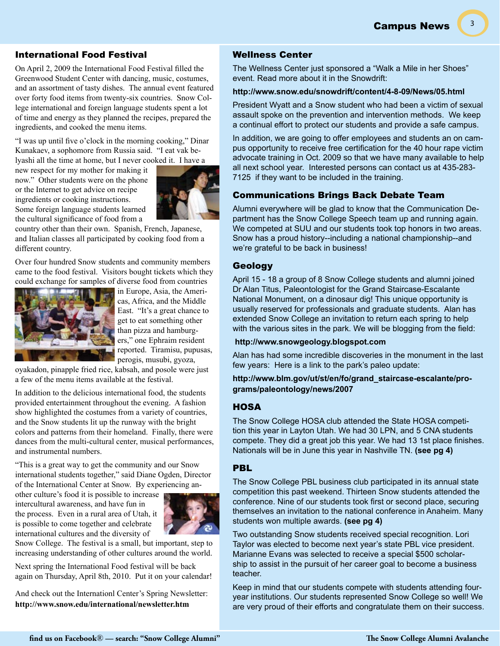Campus News

3

#### International Food Festival

On April 2, 2009 the International Food Festival filled the Greenwood Student Center with dancing, music, costumes, and an assortment of tasty dishes. The annual event featured over forty food items from twenty-six countries. Snow College international and foreign language students spent a lot of time and energy as they planned the recipes, prepared the ingredients, and cooked the menu items.

"I was up until five o'clock in the morning cooking," Dinar Kunakaev, a sophomore from Russia said. "I eat vak belyashi all the time at home, but I never cooked it. I have a

new respect for my mother for making it now." Other students were on the phone or the Internet to get advice on recipe ingredients or cooking instructions. Some foreign language students learned the cultural significance of food from a



country other than their own. Spanish, French, Japanese, and Italian classes all participated by cooking food from a different country.

Over four hundred Snow students and community members came to the food festival. Visitors bought tickets which they could exchange for samples of diverse food from countries



in Europe, Asia, the Americas, Africa, and the Middle East. "It's a great chance to get to eat something other than pizza and hamburgers," one Ephraim resident reported. Tiramisu, pupusas, perogis, musubi, gyoza,

oyakadon, pinapple fried rice, kabsah, and posole were just a few of the menu items available at the festival.

In addition to the delicious international food, the students provided entertainment throughout the evening. A fashion show highlighted the costumes from a variety of countries, and the Snow students lit up the runway with the bright colors and patterns from their homeland. Finally, there were dances from the multi-cultural center, musical performances, and instrumental numbers.

"This is a great way to get the community and our Snow international students together," said Diane Ogden, Director of the International Center at Snow. By experiencing an-

other culture's food it is possible to increase intercultural awareness, and have fun in the process. Even in a rural area of Utah, it is possible to come together and celebrate international cultures and the diversity of



Snow College. The festival is a small, but important, step to increasing understanding of other cultures around the world.

Next spring the International Food festival will be back again on Thursday, April 8th, 2010. Put it on your calendar!

And check out the Internationl Center's Spring Newsletter: **http://www.snow.edu/international/newsletter.htm**

### Wellness Center

The Wellness Center just sponsored a "Walk a Mile in her Shoes" event. Read more about it in the Snowdrift:

#### **http://www.snow.edu/snowdrift/content/4-8-09/News/05.html**

President Wyatt and a Snow student who had been a victim of sexual assault spoke on the prevention and intervention methods. We keep a continual effort to protect our students and provide a safe campus.

In addition, we are going to offer employees and students an on campus opportunity to receive free certification for the 40 hour rape victim advocate training in Oct. 2009 so that we have many available to help all next school year. Interested persons can contact us at 435-283- 7125 if they want to be included in the training.

#### Communications Brings Back Debate Team

Alumni everywhere will be glad to know that the Communication Department has the Snow College Speech team up and running again. We competed at SUU and our students took top honors in two areas. Snow has a proud history--including a national championship--and we're grateful to be back in business!

#### Geology

April 15 - 18 a group of 8 Snow College students and alumni joined Dr Alan Titus, Paleontologist for the Grand Staircase-Escalante National Monument, on a dinosaur dig! This unique opportunity is usually reserved for professionals and graduate students. Alan has extended Snow College an invitation to return each spring to help with the various sites in the park. We will be blogging from the field:

#### **http://www.snowgeology.blogspot.com**

Alan has had some incredible discoveries in the monument in the last few years: Here is a link to the park's paleo update:

**http://www.blm.gov/ut/st/en/fo/grand\_staircase-escalante/programs/paleontology/news/2007**

#### HOSA

The Snow College HOSA club attended the State HOSA competition this year in Layton Utah. We had 30 LPN, and 5 CNA students compete. They did a great job this year. We had 13 1st place finishes. Nationals will be in June this year in Nashville TN. **(see pg 4)**

#### PBL

The Snow College PBL business club participated in its annual state competition this past weekend. Thirteen Snow students attended the conference. Nine of our students took first or second place, securing themselves an invitation to the national conference in Anaheim. Many students won multiple awards. **(see pg 4)**

Two outstanding Snow students received special recognition. Lori Taylor was elected to become next year's state PBL vice president. Marianne Evans was selected to receive a special \$500 scholarship to assist in the pursuit of her career goal to become a business teacher.

Keep in mind that our students compete with students attending fouryear institutions. Our students represented Snow College so well! We are very proud of their efforts and congratulate them on their success.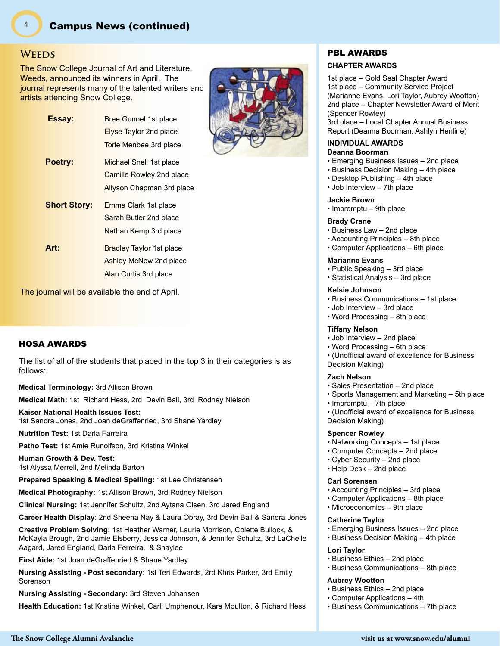#### **Weeds**

The Snow College Journal of Art and Literature, Weeds, announced its winners in April. The journal represents many of the talented writers and artists attending Snow College.

| Essay:              | Bree Gunnel 1st place     |
|---------------------|---------------------------|
|                     | Elyse Taylor 2nd place    |
|                     | Torle Menbee 3rd place    |
| Poetry:             | Michael Snell 1st place   |
|                     | Camille Rowley 2nd place  |
|                     | Allyson Chapman 3rd place |
| <b>Short Story:</b> | Emma Clark 1st place      |
|                     | Sarah Butler 2nd place    |
|                     | Nathan Kemp 3rd place     |
| Art:                | Bradley Taylor 1st place  |
|                     | Ashley McNew 2nd place    |
|                     | Alan Curtis 3rd place     |

The journal will be available the end of April.

#### HOSA AWARDS

The list of all of the students that placed in the top 3 in their categories is as follows:

**Medical Terminology:** 3rd Allison Brown

**Medical Math:** 1st Richard Hess, 2rd Devin Ball, 3rd Rodney Nielson

#### **Kaiser National Health Issues Test:**

1st Sandra Jones, 2nd Joan deGraffenried, 3rd Shane Yardley

**Nutrition Test:** 1st Darla Farreira

**Patho Test:** 1st Amie Runolfson, 3rd Kristina Winkel

**Human Growth & Dev. Test:** 1st Alyssa Merrell, 2nd Melinda Barton

**Prepared Speaking & Medical Spelling:** 1st Lee Christensen

**Medical Photography:** 1st Allison Brown, 3rd Rodney Nielson

**Clinical Nursing:** 1st Jennifer Schultz, 2nd Aytana Olsen, 3rd Jared England

**Career Health Display**: 2nd Sheena Nay & Laura Obray, 3rd Devin Ball & Sandra Jones

**Creative Problem Solving:** 1st Heather Warner, Laurie Morrison, Colette Bullock, & McKayla Brough, 2nd Jamie Elsberry, Jessica Johnson, & Jennifer Schultz, 3rd LaChelle Aagard, Jared England, Darla Ferreira, & Shaylee

**First Aide:** 1st Joan deGraffenried & Shane Yardley

**Nursing Assisting - Post secondary**: 1st Teri Edwards, 2rd Khris Parker, 3rd Emily Sorenson

**Nursing Assisting - Secondary:** 3rd Steven Johansen

**Health Education:** 1st Kristina Winkel, Carli Umphenour, Kara Moulton, & Richard Hess

# PBL AWARDS

#### **CHAPTER AWARDS**

1st place – Gold Seal Chapter Award 1st place – Community Service Project (Marianne Evans, Lori Taylor, Aubrey Wootton) 2nd place – Chapter Newsletter Award of Merit (Spencer Rowley)

3rd place – Local Chapter Annual Business Report (Deanna Boorman, Ashlyn Henline)

#### **INDIVIDUAL AWARDS Deanna Boorman**

- Emerging Business Issues 2nd place
- Business Decision Making 4th place
- Desktop Publishing 4th place
- Job Interview 7th place

#### **Jackie Brown**

• Impromptu – 9th place

#### **Brady Crane**

- Business Law 2nd place
- Accounting Principles 8th place
- Computer Applications 6th place

#### **Marianne Evans**

- Public Speaking 3rd place
- Statistical Analysis 3rd place

#### **Kelsie Johnson**

- Business Communications 1st place
- Job Interview 3rd place
- Word Processing 8th place

#### **Tiffany Nelson**

- Job Interview 2nd place
- Word Processing 6th place
- (Unofficial award of excellence for Business Decision Making)

#### **Zach Nelson**

- Sales Presentation 2nd place
- Sports Management and Marketing 5th place
- Impromptu 7th place

• (Unofficial award of excellence for Business Decision Making)

#### **Spencer Rowley**

- Networking Concepts 1st place
- Computer Concepts 2nd place
- Cyber Security 2nd place
- Help Desk 2nd place

#### **Carl Sorensen**

- Accounting Principles 3rd place
- Computer Applications 8th place
- Microeconomics 9th place

#### **Catherine Taylor**

- Emerging Business Issues 2nd place
- Business Decision Making 4th place

#### **Lori Taylor**

- Business Ethics 2nd place
- Business Communications 8th place

#### **Aubrey Wootton**

- Business Ethics 2nd place
- Computer Applications 4th
- Business Communications 7th place

4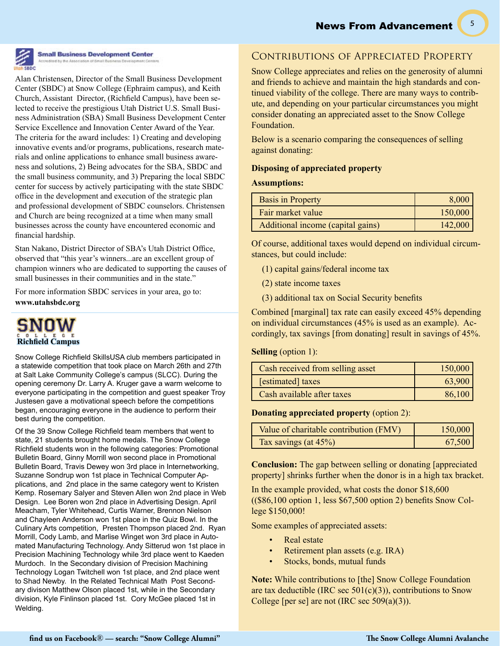5



# **Small Business Development Center**

Alan Christensen, Director of the Small Business Development Center (SBDC) at Snow College (Ephraim campus), and Keith Church, Assistant Director, (Richfield Campus), have been selected to receive the prestigious Utah District U.S. Small Business Administration (SBA) Small Business Development Center Service Excellence and Innovation Center Award of the Year. The criteria for the award includes: 1) Creating and developing innovative events and/or programs, publications, research materials and online applications to enhance small business awareness and solutions, 2) Being advocates for the SBA, SBDC and the small business community, and 3) Preparing the local SBDC center for success by actively participating with the state SBDC office in the development and execution of the strategic plan and professional development of SBDC counselors. Christensen and Church are being recognized at a time when many small businesses across the county have encountered economic and financial hardship.

Stan Nakano, District Director of SBA's Utah District Office, observed that "this year's winners...are an excellent group of champion winners who are dedicated to supporting the causes of small businesses in their communities and in the state."

For more information SBDC services in your area, go to: **www.utahsbdc.org**



Snow College Richfield SkillsUSA club members participated in a statewide competition that took place on March 26th and 27th at Salt Lake Community College's campus (SLCC). During the opening ceremony Dr. Larry A. Kruger gave a warm welcome to everyone participating in the competition and guest speaker Troy Justesen gave a motivational speech before the competitions began, encouraging everyone in the audience to perform their best during the competition.

Of the 39 Snow College Richfield team members that went to state, 21 students brought home medals. The Snow College Richfield students won in the following categories: Promotional Bulletin Board, Ginny Morrill won second place in Promotional Bulletin Board, Travis Dewey won 3rd place in Internetworking, Suzanne Sondrup won 1st place in Technical Computer Applications, and 2nd place in the same category went to Kristen Kemp. Rosemary Salyer and Steven Allen won 2nd place in Web Design. Lee Boren won 2nd place in Advertising Design. April Meacham, Tyler Whitehead, Curtis Warner, Brennon Nielson and Chayleen Anderson won 1st place in the Quiz Bowl. In the Culinary Arts competition, Presten Thompson placed 2nd. Ryan Morrill, Cody Lamb, and Marlise Winget won 3rd place in Automated Manufacturing Technology. Andy Sitterud won 1st place in Precision Machining Technology while 3rd place went to Kaeden Murdoch. In the Secondary division of Precision Machining Technology Logan Twitchell won 1st place, and 2nd place went to Shad Newby. In the Related Technical Math Post Secondary divison Matthew Olson placed 1st, while in the Secondary division, Kyle Finlinson placed 1st. Cory McGee placed 1st in Welding.

# Contributions of Appreciated Property

Snow College appreciates and relies on the generosity of alumni and friends to achieve and maintain the high standards and continued viability of the college. There are many ways to contribute, and depending on your particular circumstances you might consider donating an appreciated asset to the Snow College Foundation.

Below is a scenario comparing the consequences of selling against donating:

#### **Disposing of appreciated property**

#### **Assumptions:**

| <b>Basis in Property</b>          | 8,000   |
|-----------------------------------|---------|
| Fair market value                 | 150,000 |
| Additional income (capital gains) | 142,000 |

Of course, additional taxes would depend on individual circumstances, but could include:

(1) capital gains/federal income tax

(2) state income taxes

(3) additional tax on Social Security benefits

Combined [marginal] tax rate can easily exceed 45% depending on individual circumstances (45% is used as an example). Accordingly, tax savings [from donating] result in savings of 45%.

**Selling** (option 1):

| Cash received from selling asset | 150,000 |
|----------------------------------|---------|
| [estimated] taxes                | 63,900  |
| Cash available after taxes       | 86,100  |

**Donating appreciated property** (option 2):

| Value of charitable contribution (FMV) | 150,000 |
|----------------------------------------|---------|
| Tax savings (at 45%)                   | 67,500  |

**Conclusion:** The gap between selling or donating [appreciated property] shrinks further when the donor is in a high tax bracket.

In the example provided, what costs the donor \$18,600 ((\$86,100 option 1, less \$67,500 option 2) benefits Snow College \$150,000!

Some examples of appreciated assets:

- Real estate
- Retirement plan assets (e.g. IRA)
- Stocks, bonds, mutual funds

**Note:** While contributions to [the] Snow College Foundation are tax deductible (IRC sec  $501(c)(3)$ ), contributions to Snow College [per se] are not (IRC sec  $509(a)(3)$ ).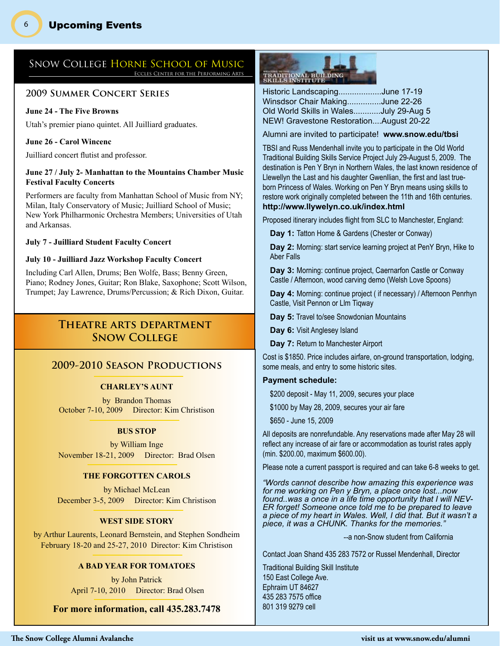# SNOW COLLEGE HORNE SCHOOL OF MUSIC

#### **2009 Summer Concert Series**

#### **June 24 - The Five Browns**

6

Utah's premier piano quintet. All Juilliard graduates.

#### **June 26 - Carol Wincenc**

Juilliard concert flutist and professor.

#### **June 27 / July 2- Manhattan to the Mountains Chamber Music Festival Faculty Concerts**

Performers are faculty from Manhattan School of Music from NY; Milan, Italy Conservatory of Music; Juilliard School of Music; New York Philharmonic Orchestra Members; Universities of Utah and Arkansas.

#### **July 7 - Juilliard Student Faculty Concert**

#### **July 10 - Juilliard Jazz Workshop Faculty Concert**

Including Carl Allen, Drums; Ben Wolfe, Bass; Benny Green, Piano; Rodney Jones, Guitar; Ron Blake, Saxophone; Scott Wilson, Trumpet; Jay Lawrence, Drums/Percussion; & Rich Dixon, Guitar.

# **Theatre arts department Snow College**

### **2009-2010 Season Productions**

#### **CHARLEY'S AUNT**

by Brandon Thomas October 7-10, 2009 Director: Kim Christison

#### **BUS STOP**

by William Inge November 18-21, 2009 Director: Brad Olsen

#### **THE FORGOTTEN CAROLS**

by Michael McLean December 3-5, 2009 Director: Kim Christison

#### **WEST SIDE STORY**

by Arthur Laurents, Leonard Bernstein, and Stephen Sondheim February 18-20 and 25-27, 2010 Director: Kim Christison

#### **A BAD YEAR FOR TOMATOES**

by John Patrick April 7-10, 2010 Director: Brad Olsen

**For more information, call 435.283.7478**

# TRADITIONAL BUILDING<br>SKILLS INSTITUTE

Historic Landscaping...................June 17-19 Winsdsor Chair Making...............June 22-26 Old World Skills in Wales............July 29-Aug 5 NEW! Gravestone Restoration....August 20-22

Alumni are invited to participate! **www.snow.edu/tbsi**

TBSI and Russ Mendenhall invite you to participate in the Old World Traditional Building Skills Service Project July 29-August 5, 2009. The destination is Pen Y Bryn in Northern Wales, the last known residence of Llewellyn the Last and his daughter Gwenllian, the first and last trueborn Princess of Wales. Working on Pen Y Bryn means using skills to restore work originally completed between the 11th and 16th centuries. **http://www.llywelyn.co.uk/index.html**

Proposed itinerary includes flight from SLC to Manchester, England:

**Day 1:** Tatton Home & Gardens (Chester or Conway)

**Day 2:** Morning: start service learning project at PenY Bryn, Hike to Aber Falls

**Day 3:** Morning: continue project, Caernarfon Castle or Conway Castle / Afternoon, wood carving demo (Welsh Love Spoons)

**Day 4:** Morning: continue project ( if necessary) / Afternoon Penrhyn Castle, Visit Pennon or Llm Tiqway

**Day 5:** Travel to/see Snowdonian Mountains

Day 6: Visit Anglesey Island

Day 7: Return to Manchester Airport

Cost is \$1850. Price includes airfare, on-ground transportation, lodging, some meals, and entry to some historic sites.

#### **Payment schedule:**

\$200 deposit - May 11, 2009, secures your place

\$1000 by May 28, 2009, secures your air fare

\$650 - June 15, 2009

All deposits are nonrefundable. Any reservations made after May 28 will reflect any increase of air fare or accommodation as tourist rates apply (min. \$200.00, maximum \$600.00).

Please note a current passport is required and can take 6-8 weeks to get.

*"Words cannot describe how amazing this experience was for me working on Pen y Bryn, a place once lost...now found..was a once in a life time opportunity that I will NEV-ER forget! Someone once told me to be prepared to leave a piece of my heart in Wales. Well, I did that. But it wasn't a piece, it was a CHUNK. Thanks for the memories."*

 *--*a non-Snow student from California

Contact Joan Shand 435 283 7572 or Russel Mendenhall, Director

Traditional Building Skill Institute 150 East College Ave. Ephraim UT 84627 435 283 7575 office 801 319 9279 cell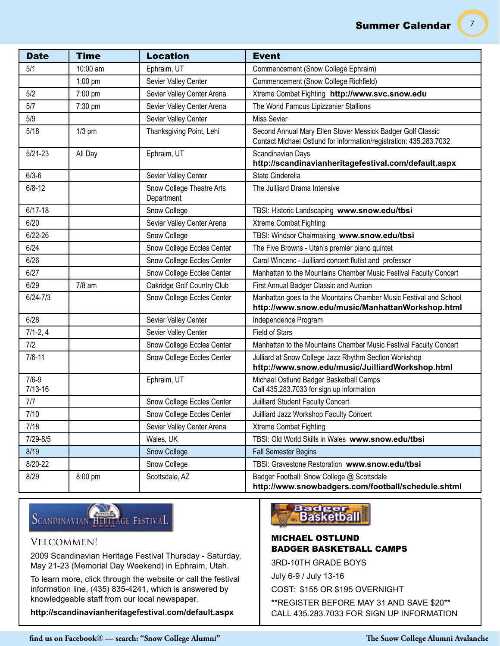7

| <b>Date</b>              | <b>Time</b> | <b>Location</b>                         | <b>Event</b>                                                                                                                      |
|--------------------------|-------------|-----------------------------------------|-----------------------------------------------------------------------------------------------------------------------------------|
| 5/1                      | 10:00 am    | Ephraim, UT                             | Commencement (Snow College Ephraim)                                                                                               |
|                          | $1:00$ pm   | Sevier Valley Center                    | Commencement (Snow College Richfield)                                                                                             |
| 5/2                      | 7:00 pm     | Sevier Valley Center Arena              | Xtreme Combat Fighting http://www.svc.snow.edu                                                                                    |
| 5/7                      | 7:30 pm     | Sevier Valley Center Arena              | The World Famous Lipizzanier Stallions                                                                                            |
| 5/9                      |             | Sevier Valley Center                    | <b>Miss Sevier</b>                                                                                                                |
| 5/18                     | $1/3$ pm    | Thanksgiving Point, Lehi                | Second Annual Mary Ellen Stover Messick Badger Golf Classic<br>Contact Michael Ostlund for information/registration: 435.283.7032 |
| $5/21 - 23$              | All Day     | Ephraim, UT                             | Scandinavian Days<br>http://scandinavianheritagefestival.com/default.aspx                                                         |
| $6/3 - 6$                |             | Sevier Valley Center                    | State Cinderella                                                                                                                  |
| $6/8 - 12$               |             | Snow College Theatre Arts<br>Department | The Juilliard Drama Intensive                                                                                                     |
| $6/17 - 18$              |             | Snow College                            | TBSI: Historic Landscaping www.snow.edu/tbsi                                                                                      |
| 6/20                     |             | Sevier Valley Center Arena              | <b>Xtreme Combat Fighting</b>                                                                                                     |
| $6/22 - 26$              |             | Snow College                            | TBSI: Windsor Chairmaking www.snow.edu/tbsi                                                                                       |
| 6/24                     |             | Snow College Eccles Center              | The Five Browns - Utah's premier piano quintet                                                                                    |
| 6/26                     |             | Snow College Eccles Center              | Carol Wincenc - Juilliard concert flutist and professor                                                                           |
| 6/27                     |             | Snow College Eccles Center              | Manhattan to the Mountains Chamber Music Festival Faculty Concert                                                                 |
| 6/29                     | $7/8$ am    | Oakridge Golf Country Club              | First Annual Badger Classic and Auction                                                                                           |
| $6/24 - 7/3$             |             | Snow College Eccles Center              | Manhattan goes to the Mountains Chamber Music Festival and School<br>http://www.snow.edu/music/ManhattanWorkshop.html             |
| 6/28                     |             | Sevier Valley Center                    | Independence Program                                                                                                              |
| $7/1 - 2, 4$             |             | Sevier Valley Center                    | <b>Field of Stars</b>                                                                                                             |
| 7/2                      |             | Snow College Eccles Center              | Manhattan to the Mountains Chamber Music Festival Faculty Concert                                                                 |
| $7/6 - 11$               |             | Snow College Eccles Center              | Julliard at Snow College Jazz Rhythm Section Workshop<br>http://www.snow.edu/music/JuilliardWorkshop.html                         |
| $7/6 - 9$<br>$7/13 - 16$ |             | Ephraim, UT                             | Michael Ostlund Badger Basketball Camps<br>Call 435.283.7033 for sign up information                                              |
| 7/7                      |             | Snow College Eccles Center              | Juilliard Student Faculty Concert                                                                                                 |
| 7/10                     |             | Snow College Eccles Center              | Juilliard Jazz Workshop Faculty Concert                                                                                           |
| 7/18                     |             | Sevier Valley Center Arena              | <b>Xtreme Combat Fighting</b>                                                                                                     |
| $7/29 - 8/5$             |             | Wales, UK                               | TBSI: Old World Skills in Wales www.snow.edu/tbsi                                                                                 |
| 8/19                     |             | Snow College                            | <b>Fall Semester Begins</b>                                                                                                       |
| 8/20-22                  |             | Snow College                            | TBSI: Gravestone Restoration www.snow.edu/tbsi                                                                                    |
| 8/29                     | 8:00 pm     | Scottsdale, AZ                          | Badger Football: Snow College @ Scottsdale<br>http://www.snowbadgers.com/football/schedule.shtml                                  |

# SCANDINAVIAN HERITAGE FESTIVAL

# Velcommen!

2009 Scandinavian Heritage Festival Thursday - Saturday, May 21-23 (Memorial Day Weekend) in Ephraim, Utah.

To learn more, click through the website or call the festival information line, (435) 835-4241, which is answered by knowledgeable staff from our local newspaper.

**http://scandinavianheritagefestival.com/default.aspx**

# Badger<br>- Basketball

# MICHAEL OSTLUND BADGER BASKETBALL CAMPS

3RD-10TH GRADE BOYS

July 6-9 / July 13-16

COST: \$155 OR \$195 OVERNIGHT

\*\*REGISTER BEFORE MAY 31 AND SAVE \$20\*\* CALL 435.283.7033 FOR SIGN UP INFORMATION

**find us on Facebook**® **— search: "Snow College Alumni" The Snow College Alumni Avalanche**